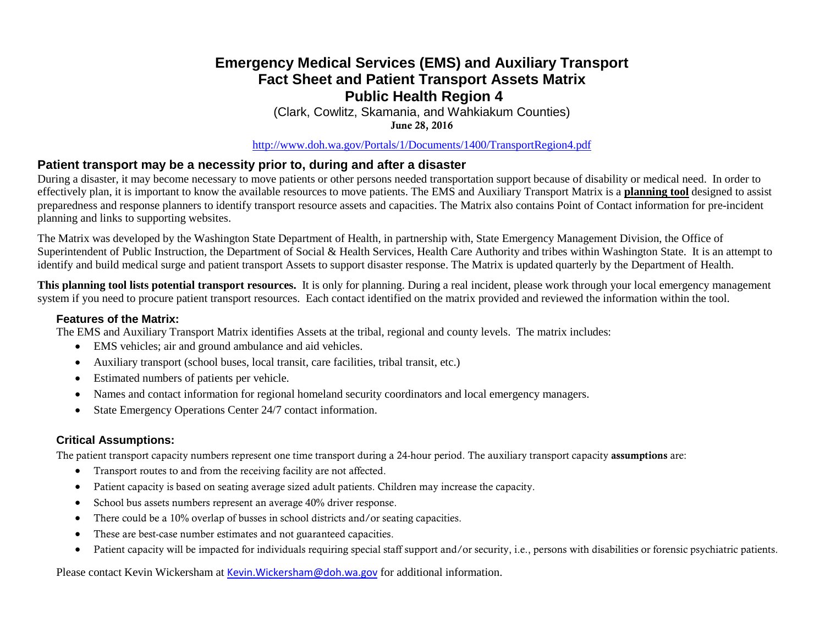## **Emergency Medical Services (EMS) and Auxiliary Transport Fact Sheet and Patient Transport Assets Matrix Public Health Region 4**

(Clark, Cowlitz, Skamania, and Wahkiakum Counties) June 28, 2016

<http://www.doh.wa.gov/Portals/1/Documents/1400/TransportRegion4.pdf>

### **Patient transport may be a necessity prior to, during and after a disaster**

During a disaster, it may become necessary to move patients or other persons needed transportation support because of disability or medical need. In order to effectively plan, it is important to know the available resources to move patients. The EMS and Auxiliary Transport Matrix is a **planning tool** designed to assist preparedness and response planners to identify transport resource assets and capacities. The Matrix also contains Point of Contact information for pre-incident planning and links to supporting websites.

The Matrix was developed by the Washington State Department of Health, in partnership with, State Emergency Management Division, the Office of Superintendent of Public Instruction, the Department of Social & Health Services, Health Care Authority and tribes within Washington State. It is an attempt to identify and build medical surge and patient transport Assets to support disaster response. The Matrix is updated quarterly by the Department of Health.

**This planning tool lists potential transport resources.** It is only for planning. During a real incident, please work through your local emergency management system if you need to procure patient transport resources. Each contact identified on the matrix provided and reviewed the information within the tool.

#### **Features of the Matrix:**

The EMS and Auxiliary Transport Matrix identifies Assets at the tribal, regional and county levels. The matrix includes:

- EMS vehicles; air and ground ambulance and aid vehicles.
- Auxiliary transport (school buses, local transit, care facilities, tribal transit, etc.)
- Estimated numbers of patients per vehicle.
- Names and contact information for regional homeland security coordinators and local emergency managers.
- State Emergency Operations Center 24/7 contact information.

#### **Critical Assumptions:**

The patient transport capacity numbers represent one time transport during a 24-hour period. The auxiliary transport capacity assumptions are:

- Transport routes to and from the receiving facility are not affected.
- Patient capacity is based on seating average sized adult patients. Children may increase the capacity.
- School bus assets numbers represent an average 40% driver response.
- There could be a 10% overlap of busses in school districts and/or seating capacities.
- These are best-case number estimates and not guaranteed capacities.
- Patient capacity will be impacted for individuals requiring special staff support and/or security, i.e., persons with disabilities or forensic psychiatric patients.

Please contact Kevin Wickersham at [Kevin.Wickersham@doh.wa.gov](mailto:Kevin.Wickersham@doh.wa.gov) for additional information.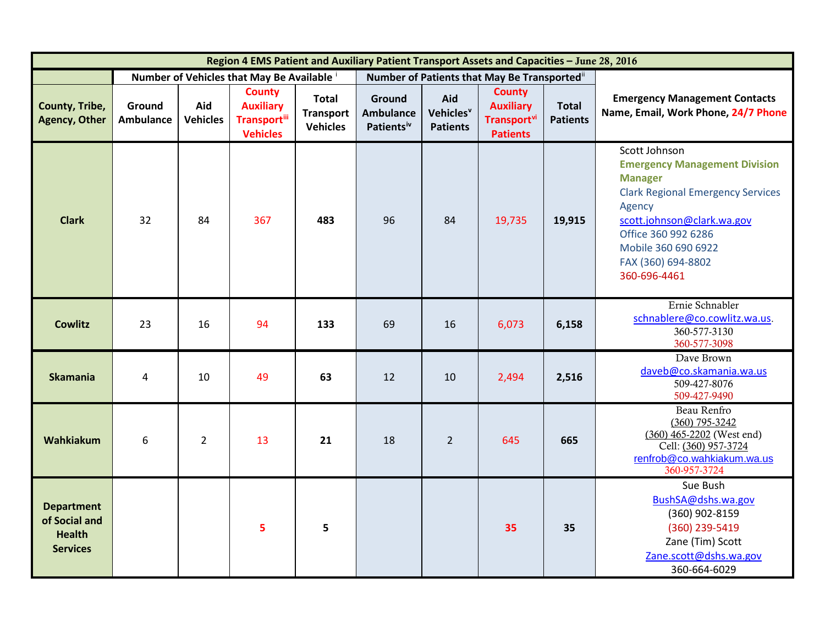| Region 4 EMS Patient and Auxiliary Patient Transport Assets and Capacities - June 28, 2016 |                            |                        |                                                                              |                                                     |                                                      |                                                 |                                                                             |                                 |                                                                                                                                                                                                                                                 |
|--------------------------------------------------------------------------------------------|----------------------------|------------------------|------------------------------------------------------------------------------|-----------------------------------------------------|------------------------------------------------------|-------------------------------------------------|-----------------------------------------------------------------------------|---------------------------------|-------------------------------------------------------------------------------------------------------------------------------------------------------------------------------------------------------------------------------------------------|
|                                                                                            |                            |                        | Number of Vehicles that May Be Available i                                   |                                                     | Number of Patients that May Be Transported"          |                                                 |                                                                             |                                 |                                                                                                                                                                                                                                                 |
| County, Tribe,<br><b>Agency, Other</b>                                                     | Ground<br><b>Ambulance</b> | Aid<br><b>Vehicles</b> | <b>County</b><br><b>Auxiliary</b><br><b>Transport</b> iii<br><b>Vehicles</b> | <b>Total</b><br><b>Transport</b><br><b>Vehicles</b> | Ground<br><b>Ambulance</b><br>Patients <sup>iv</sup> | Aid<br>Vehicles <sup>v</sup><br><b>Patients</b> | <b>County</b><br><b>Auxiliary</b><br><b>Transport</b> vi<br><b>Patients</b> | <b>Total</b><br><b>Patients</b> | <b>Emergency Management Contacts</b><br>Name, Email, Work Phone, 24/7 Phone                                                                                                                                                                     |
| <b>Clark</b>                                                                               | 32                         | 84                     | 367                                                                          | 483                                                 | 96                                                   | 84                                              | 19,735                                                                      | 19,915                          | Scott Johnson<br><b>Emergency Management Division</b><br><b>Manager</b><br><b>Clark Regional Emergency Services</b><br>Agency<br>scott.johnson@clark.wa.gov<br>Office 360 992 6286<br>Mobile 360 690 6922<br>FAX (360) 694-8802<br>360-696-4461 |
| <b>Cowlitz</b>                                                                             | 23                         | 16                     | 94                                                                           | 133                                                 | 69                                                   | 16                                              | 6,073                                                                       | 6,158                           | Ernie Schnabler<br>schnablere@co.cowlitz.wa.us.<br>360-577-3130<br>360-577-3098                                                                                                                                                                 |
| <b>Skamania</b>                                                                            | 4                          | 10                     | 49                                                                           | 63                                                  | 12                                                   | 10                                              | 2,494                                                                       | 2,516                           | Dave Brown<br>daveb@co.skamania.wa.us<br>509-427-8076<br>509-427-9490                                                                                                                                                                           |
| Wahkiakum                                                                                  | 6                          | $\overline{2}$         | 13                                                                           | 21                                                  | 18                                                   | $\overline{2}$                                  | 645                                                                         | 665                             | Beau Renfro<br>$(360)$ 795-3242<br>$(360)$ 465-2202 (West end)<br>Cell: (360) 957-3724<br>renfrob@co.wahkiakum.wa.us<br>360-957-3724                                                                                                            |
| <b>Department</b><br>of Social and<br><b>Health</b><br><b>Services</b>                     |                            |                        | 5                                                                            | 5                                                   |                                                      |                                                 | 35                                                                          | 35                              | Sue Bush<br>BushSA@dshs.wa.gov<br>(360) 902-8159<br>(360) 239-5419<br>Zane (Tim) Scott<br>Zane.scott@dshs.wa.gov<br>360-664-6029                                                                                                                |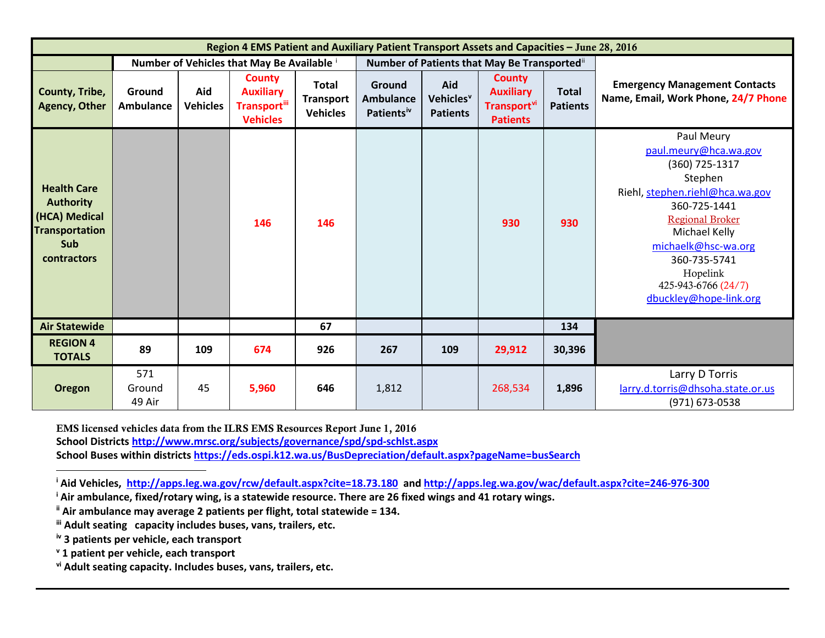<span id="page-2-5"></span><span id="page-2-4"></span><span id="page-2-3"></span><span id="page-2-2"></span><span id="page-2-1"></span><span id="page-2-0"></span>

| Region 4 EMS Patient and Auxiliary Patient Transport Assets and Capacities - June 28, 2016                           |                            |                        |                                                                                  |                                                     |                                                      |                                                 |                                                                                 |                                 |                                                                                                                                                                                                                                                                    |  |
|----------------------------------------------------------------------------------------------------------------------|----------------------------|------------------------|----------------------------------------------------------------------------------|-----------------------------------------------------|------------------------------------------------------|-------------------------------------------------|---------------------------------------------------------------------------------|---------------------------------|--------------------------------------------------------------------------------------------------------------------------------------------------------------------------------------------------------------------------------------------------------------------|--|
|                                                                                                                      |                            |                        | Number of Vehicles that May Be Available i                                       |                                                     | Number of Patients that May Be Transported"          |                                                 |                                                                                 |                                 |                                                                                                                                                                                                                                                                    |  |
| County, Tribe,<br><b>Agency, Other</b>                                                                               | Ground<br><b>Ambulance</b> | Aid<br><b>Vehicles</b> | <b>County</b><br><b>Auxiliary</b><br>Transport <sup>iii</sup><br><b>Vehicles</b> | <b>Total</b><br><b>Transport</b><br><b>Vehicles</b> | Ground<br><b>Ambulance</b><br>Patients <sup>iv</sup> | Aid<br>Vehicles <sup>v</sup><br><b>Patients</b> | <b>County</b><br><b>Auxiliary</b><br>Transport <sup>vi</sup><br><b>Patients</b> | <b>Total</b><br><b>Patients</b> | <b>Emergency Management Contacts</b><br>Name, Email, Work Phone, 24/7 Phone                                                                                                                                                                                        |  |
| <b>Health Care</b><br><b>Authority</b><br>(HCA) Medical<br><b>Transportation</b><br><b>Sub</b><br><b>contractors</b> |                            |                        | 146                                                                              | 146                                                 |                                                      |                                                 | 930                                                                             | 930                             | Paul Meury<br>paul.meury@hca.wa.gov<br>(360) 725-1317<br>Stephen<br>Riehl, stephen.riehl@hca.wa.gov<br>360-725-1441<br><b>Regional Broker</b><br>Michael Kelly<br>michaelk@hsc-wa.org<br>360-735-5741<br>Hopelink<br>425-943-6766 (24/7)<br>dbuckley@hope-link.org |  |
| <b>Air Statewide</b>                                                                                                 |                            |                        |                                                                                  | 67                                                  |                                                      |                                                 |                                                                                 | 134                             |                                                                                                                                                                                                                                                                    |  |
| <b>REGION 4</b><br><b>TOTALS</b>                                                                                     | 89                         | 109                    | 674                                                                              | 926                                                 | 267                                                  | 109                                             | 29,912                                                                          | 30,396                          |                                                                                                                                                                                                                                                                    |  |
| <b>Oregon</b>                                                                                                        | 571<br>Ground<br>49 Air    | 45                     | 5,960                                                                            | 646                                                 | 1,812                                                |                                                 | 268,534                                                                         | 1,896                           | Larry D Torris<br>larry.d.torris@dhsoha.state.or.us<br>(971) 673-0538                                                                                                                                                                                              |  |

EMS licensed vehicles data from the ILRS EMS Resources Report June 1, 2016 **School District[s http://www.mrsc.org/subjects/governance/spd/spd-schlst.aspx](http://www.mrsc.org/subjects/governance/spd/spd-schlst.aspx) School Buses within districts<https://eds.ospi.k12.wa.us/BusDepreciation/default.aspx?pageName=busSearch>**

**<sup>i</sup> Aid Vehicles,<http://apps.leg.wa.gov/rcw/default.aspx?cite=18.73.180>and<http://apps.leg.wa.gov/wac/default.aspx?cite=246-976-300>**

**<sup>i</sup> Air ambulance, fixed/rotary wing, is a statewide resource. There are 26 fixed wings and 41 rotary wings.**

**ii Air ambulance may average 2 patients per flight, total statewide = 134.**

**iii Adult seating capacity includes buses, vans, trailers, etc.**

**iv 3 patients per vehicle, each transport**

 $\overline{\phantom{a}}$ 

**<sup>v</sup> 1 patient per vehicle, each transport**

**vi Adult seating capacity. Includes buses, vans, trailers, etc.**